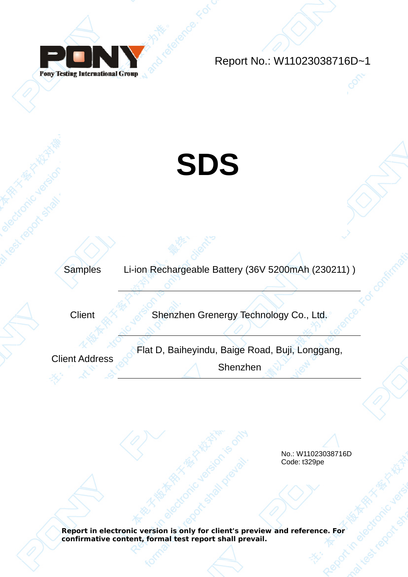

Report No.: W11023038716D~1

# **SDS**

Samples Li-ion Rechargeable Battery (36V 5200mAh (230211) )

Client Shenzhen Grenergy Technology Co., Ltd.

Client Address **Flat D, Baiheyindu, Baige Road, Buji, Longgang,** 

Shenzhen

No.: W11023038716D Code: t329pe

**Report in electronic version is only for client's preview and reference. For confirmative content, formal test report shall prevail.**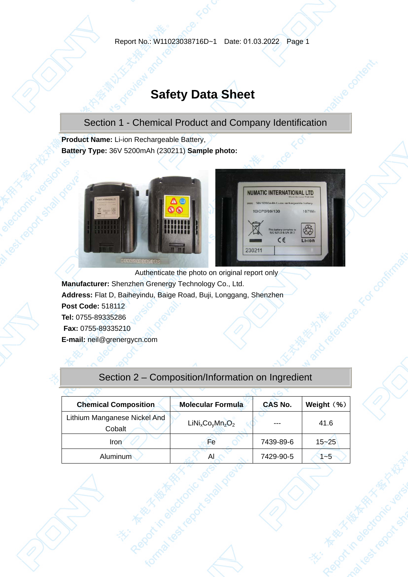## **Safety Data Sheet**

Section 1 - Chemical Product and Company Identification

**Product Name:** Li-ion Rechargeable Battery, **Battery Type:** 36V 5200mAh (230211) **Sample photo:** 



Authenticate the photo on original report only **Manufacturer:** Shenzhen Grenergy Technology Co., Ltd. **Address:** Flat D, Baiheyindu, Baige Road, Buji, Longgang, Shenzhen **Post Code:** 518112 **Tel:** 0755-89335286 **Fax:** 0755-89335210

**E-mail:** neil@grenergycn.com

## Section 2 – Composition/Information on Ingredient

| <b>Chemical Composition</b>  | <b>Molecular Formula</b> | <b>CAS No.</b> | Weight (%) |  |  |
|------------------------------|--------------------------|----------------|------------|--|--|
| Lithium Manganese Nickel And | $LiNixCoyMnzO2$          | ---            | 41.6       |  |  |
| Cobalt                       |                          |                |            |  |  |
| Iron                         | Fe                       | 7439-89-6      | $15 - 25$  |  |  |
| Aluminum                     | A                        | 7429-90-5      | $1 - 5$    |  |  |
|                              |                          |                |            |  |  |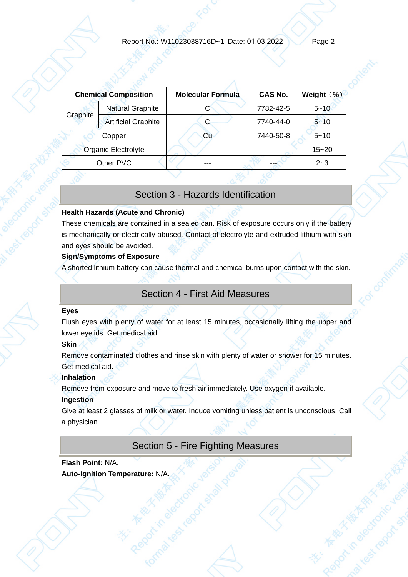|          | <b>Chemical Composition</b> | <b>Molecular Formula</b> | CAS No.   | Weight $(\%)$ |
|----------|-----------------------------|--------------------------|-----------|---------------|
| Graphite | <b>Natural Graphite</b>     | С                        | 7782-42-5 | $5 - 10$      |
|          | <b>Artificial Graphite</b>  | С                        | 7740-44-0 | $5 - 10$      |
|          | Copper                      | Cu                       | 7440-50-8 | $5 - 10$      |
|          | Organic Electrolyte         | ---                      |           | $15 - 20$     |
|          | Other PVC                   | ---                      |           | $2 - 3$       |
|          |                             |                          |           |               |

## Section 3 - Hazards Identification

#### **Health Hazards (Acute and Chronic)**

These chemicals are contained in a sealed can. Risk of exposure occurs only if the battery is mechanically or electrically abused. Contact of electrolyte and extruded lithium with skin and eyes should be avoided.

#### **Sign/Symptoms of Exposure**

A shorted lithium battery can cause thermal and chemical burns upon contact with the skin.

## Section 4 - First Aid Measures

#### **Eyes**

Flush eyes with plenty of water for at least 15 minutes, occasionally lifting the upper and lower eyelids. Get medical aid.

#### **Skin**

Remove contaminated clothes and rinse skin with plenty of water or shower for 15 minutes. Get medical aid.

#### **Inhalation**

Remove from exposure and move to fresh air immediately. Use oxygen if available.

#### **Ingestion**

Give at least 2 glasses of milk or water. Induce vomiting unless patient is unconscious. Call a physician.

## Section 5 - Fire Fighting Measures

## **Flash Point:** N/A. **Auto-Ignition Temperature:** N/A.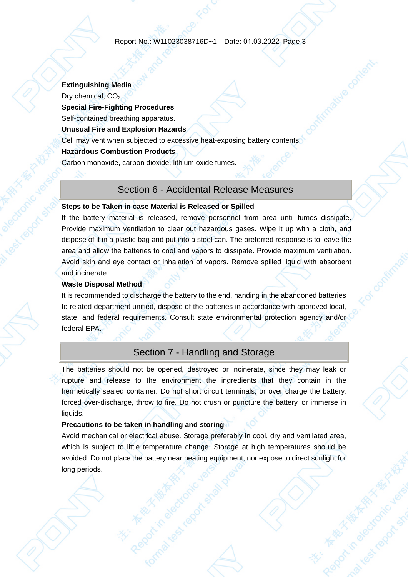## **Extinguishing Media**  Dry chemical,  $CO<sub>2</sub>$ . **Special Fire-Fighting Procedures**  Self-contained breathing apparatus. **Unusual Fire and Explosion Hazards**  Cell may vent when subjected to excessive heat-exposing battery contents. **Hazardous Combustion Products**  Carbon monoxide, carbon dioxide, lithium oxide fumes.

#### Section 6 - Accidental Release Measures

#### **Steps to be Taken in case Material is Released or Spilled**

If the battery material is released, remove personnel from area until fumes dissipate. Provide maximum ventilation to clear out hazardous gases. Wipe it up with a cloth, and dispose of it in a plastic bag and put into a steel can. The preferred response is to leave the area and allow the batteries to cool and vapors to dissipate. Provide maximum ventilation. Avoid skin and eye contact or inhalation of vapors. Remove spilled liquid with absorbent and incinerate.

#### **Waste Disposal Method**

It is recommended to discharge the battery to the end, handing in the abandoned batteries to related department unified, dispose of the batteries in accordance with approved local, state, and federal requirements. Consult state environmental protection agency and/or federal EPA.

## Section 7 - Handling and Storage

The batteries should not be opened, destroyed or incinerate, since they may leak or rupture and release to the environment the ingredients that they contain in the hermetically sealed container. Do not short circuit terminals, or over charge the battery, forced over-discharge, throw to fire. Do not crush or puncture the battery, or immerse in liquids.

#### **Precautions to be taken in handling and storing**

Avoid mechanical or electrical abuse. Storage preferably in cool, dry and ventilated area, which is subject to little temperature change. Storage at high temperatures should be avoided. Do not place the battery near heating equipment, nor expose to direct sunlight for long periods.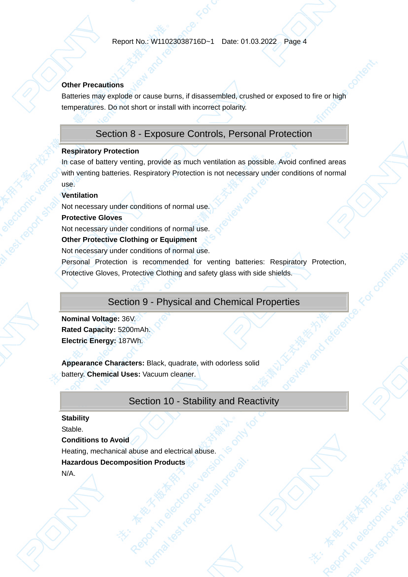#### **Other Precautions**

Batteries may explode or cause burns, if disassembled, crushed or exposed to fire or high temperatures. Do not short or install with incorrect polarity.

## Section 8 - Exposure Controls, Personal Protection

#### **Respiratory Protection**

In case of battery venting, provide as much ventilation as possible. Avoid confined areas with venting batteries. Respiratory Protection is not necessary under conditions of normal use.

#### **Ventilation**

Not necessary under conditions of normal use.

#### **Protective Gloves**

Not necessary under conditions of normal use.

#### **Other Protective Clothing or Equipment**

Not necessary under conditions of normal use.

Personal Protection is recommended for venting batteries: Respiratory Protection, Protective Gloves, Protective Clothing and safety glass with side shields.

## Section 9 - Physical and Chemical Properties

**Nominal Voltage:** 36V. **Rated Capacity:** 5200mAh. **Electric Energy:** 187Wh.

**Appearance Characters:** Black, quadrate, with odorless solid battery. **Chemical Uses:** Vacuum cleaner.

## Section 10 - Stability and Reactivity

## **Stability**

Stable.

#### **Conditions to Avoid**

Heating, mechanical abuse and electrical abuse.

#### **Hazardous Decomposition Products**

N/A.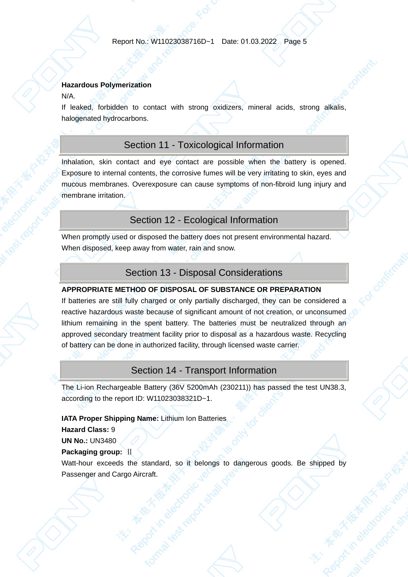#### **Hazardous Polymerization**

N/A.

If leaked, forbidden to contact with strong oxidizers, mineral acids, strong alkalis, halogenated hydrocarbons.

## Section 11 - Toxicological Information

Inhalation, skin contact and eye contact are possible when the battery is opened. Exposure to internal contents, the corrosive fumes will be very irritating to skin, eyes and mucous membranes. Overexposure can cause symptoms of non-fibroid lung injury and membrane irritation.

## Section 12 - Ecological Information

When promptly used or disposed the battery does not present environmental hazard. When disposed, keep away from water, rain and snow.

## Section 13 - Disposal Considerations

#### **APPROPRIATE METHOD OF DISPOSAL OF SUBSTANCE OR PREPARATION**

If batteries are still fully charged or only partially discharged, they can be considered a reactive hazardous waste because of significant amount of not creation, or unconsumed lithium remaining in the spent battery. The batteries must be neutralized through an approved secondary treatment facility prior to disposal as a hazardous waste. Recycling of battery can be done in authorized facility, through licensed waste carrier.

## Section 14 - Transport Information

The Li-ion Rechargeable Battery (36V 5200mAh (230211)) has passed the test UN38.3, according to the report ID: W11023038321D~1.

#### **IATA Proper Shipping Name:** Lithium Ion Batteries

**Hazard Class:** 9

#### **UN No.:** UN3480 **Packaging group:** Ⅱ

Watt-hour exceeds the standard, so it belongs to dangerous goods. Be shipped by Passenger and Cargo Aircraft.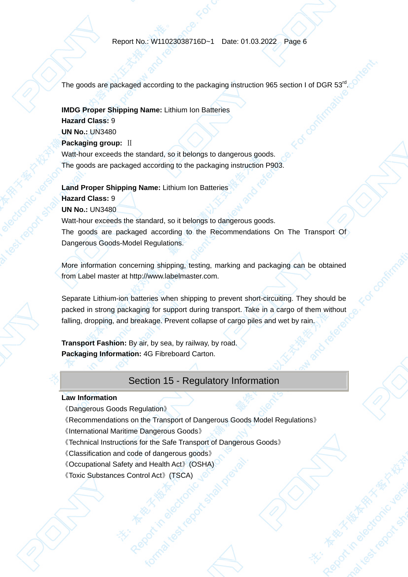The goods are packaged according to the packaging instruction 965 section I of DGR  $53^{rd}$ 

#### **IMDG Proper Shipping Name:** Lithium Ion Batteries

**Hazard Class:** 9 **UN No.:** UN3480 **Packaging group: II** 

Watt-hour exceeds the standard, so it belongs to dangerous goods. The goods are packaged according to the packaging instruction P903.

**Land Proper Shipping Name:** Lithium Ion Batteries

#### **Hazard Class:** 9

**UN No.:** UN3480

Watt-hour exceeds the standard, so it belongs to dangerous goods. The goods are packaged according to the Recommendations On The Transport Of Dangerous Goods-Model Regulations.

More information concerning shipping, testing, marking and packaging can be obtained from Label master at http://www.labelmaster.com.

Separate Lithium-ion batteries when shipping to prevent short-circuiting. They should be packed in strong packaging for support during transport. Take in a cargo of them without falling, dropping, and breakage. Prevent collapse of cargo piles and wet by rain.

**Transport Fashion:** By air, by sea, by railway, by road. **Packaging Information:** 4G Fibreboard Carton.

## Section 15 - Regulatory Information

#### **Law Information**

- 《Dangerous Goods Regulation》
- 《Recommendations on the Transport of Dangerous Goods Model Regulations》
- 《International Maritime Dangerous Goods》
- 《Technical Instructions for the Safe Transport of Dangerous Goods》
- 《Classification and code of dangerous goods》
- 《Occupational Safety and Health Act》(OSHA)
- 《Toxic Substances Control Act》(TSCA)